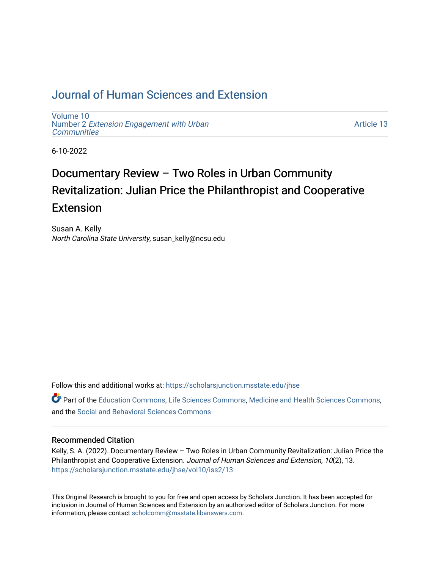# [Journal of Human Sciences and Extension](https://scholarsjunction.msstate.edu/jhse)

[Volume 10](https://scholarsjunction.msstate.edu/jhse/vol10) Number 2 [Extension Engagement with Urban](https://scholarsjunction.msstate.edu/jhse/vol10/iss2) **[Communities](https://scholarsjunction.msstate.edu/jhse/vol10/iss2)** 

[Article 13](https://scholarsjunction.msstate.edu/jhse/vol10/iss2/13) 

6-10-2022

# Documentary Review – Two Roles in Urban Community Revitalization: Julian Price the Philanthropist and Cooperative Extension

Susan A. Kelly North Carolina State University, susan\_kelly@ncsu.edu

Follow this and additional works at: [https://scholarsjunction.msstate.edu/jhse](https://scholarsjunction.msstate.edu/jhse?utm_source=scholarsjunction.msstate.edu%2Fjhse%2Fvol10%2Fiss2%2F13&utm_medium=PDF&utm_campaign=PDFCoverPages)

Part of the [Education Commons](https://network.bepress.com/hgg/discipline/784?utm_source=scholarsjunction.msstate.edu%2Fjhse%2Fvol10%2Fiss2%2F13&utm_medium=PDF&utm_campaign=PDFCoverPages), [Life Sciences Commons](https://network.bepress.com/hgg/discipline/1016?utm_source=scholarsjunction.msstate.edu%2Fjhse%2Fvol10%2Fiss2%2F13&utm_medium=PDF&utm_campaign=PDFCoverPages), [Medicine and Health Sciences Commons](https://network.bepress.com/hgg/discipline/648?utm_source=scholarsjunction.msstate.edu%2Fjhse%2Fvol10%2Fiss2%2F13&utm_medium=PDF&utm_campaign=PDFCoverPages), and the [Social and Behavioral Sciences Commons](https://network.bepress.com/hgg/discipline/316?utm_source=scholarsjunction.msstate.edu%2Fjhse%2Fvol10%2Fiss2%2F13&utm_medium=PDF&utm_campaign=PDFCoverPages) 

#### Recommended Citation

Kelly, S. A. (2022). Documentary Review – Two Roles in Urban Community Revitalization: Julian Price the Philanthropist and Cooperative Extension. Journal of Human Sciences and Extension, 10(2), 13. [https://scholarsjunction.msstate.edu/jhse/vol10/iss2/13](https://scholarsjunction.msstate.edu/jhse/vol10/iss2/13?utm_source=scholarsjunction.msstate.edu%2Fjhse%2Fvol10%2Fiss2%2F13&utm_medium=PDF&utm_campaign=PDFCoverPages) 

This Original Research is brought to you for free and open access by Scholars Junction. It has been accepted for inclusion in Journal of Human Sciences and Extension by an authorized editor of Scholars Junction. For more information, please contact [scholcomm@msstate.libanswers.com](mailto:scholcomm@msstate.libanswers.com).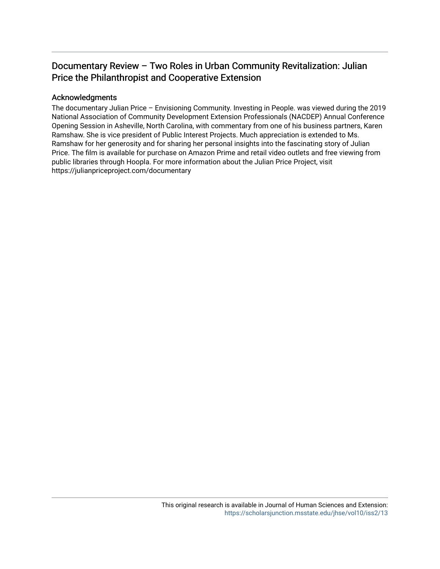## Documentary Review – Two Roles in Urban Community Revitalization: Julian Price the Philanthropist and Cooperative Extension

#### Acknowledgments

The documentary Julian Price – Envisioning Community. Investing in People. was viewed during the 2019 National Association of Community Development Extension Professionals (NACDEP) Annual Conference Opening Session in Asheville, North Carolina, with commentary from one of his business partners, Karen Ramshaw. She is vice president of Public Interest Projects. Much appreciation is extended to Ms. Ramshaw for her generosity and for sharing her personal insights into the fascinating story of Julian Price. The film is available for purchase on Amazon Prime and retail video outlets and free viewing from public libraries through Hoopla. For more information about the Julian Price Project, visit https://julianpriceproject.com/documentary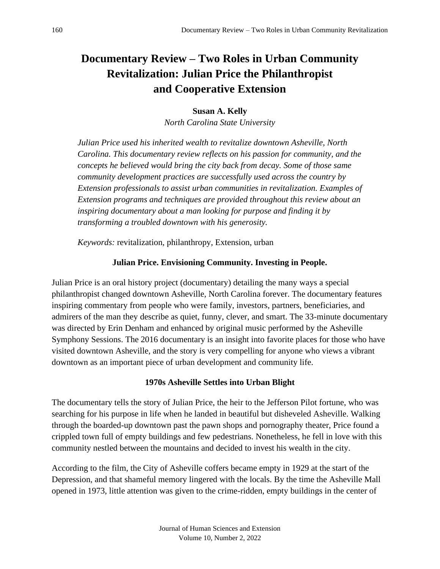# **Documentary Review – Two Roles in Urban Community Revitalization: Julian Price the Philanthropist and Cooperative Extension**

### **Susan A. Kelly**

*North Carolina State University*

*Julian Price used his inherited wealth to revitalize downtown Asheville, North Carolina. This documentary review reflects on his passion for community, and the concepts he believed would bring the city back from decay. Some of those same community development practices are successfully used across the country by Extension professionals to assist urban communities in revitalization. Examples of Extension programs and techniques are provided throughout this review about an inspiring documentary about a man looking for purpose and finding it by transforming a troubled downtown with his generosity.*

*Keywords:* revitalization, philanthropy, Extension, urban

### **Julian Price. Envisioning Community. Investing in People.**

Julian Price is an oral history project (documentary) detailing the many ways a special philanthropist changed downtown Asheville, North Carolina forever. The documentary features inspiring commentary from people who were family, investors, partners, beneficiaries, and admirers of the man they describe as quiet, funny, clever, and smart. The 33-minute documentary was directed by Erin Denham and enhanced by original music performed by the Asheville Symphony Sessions. The 2016 documentary is an insight into favorite places for those who have visited downtown Asheville, and the story is very compelling for anyone who views a vibrant downtown as an important piece of urban development and community life.

### **1970s Asheville Settles into Urban Blight**

The documentary tells the story of Julian Price, the heir to the Jefferson Pilot fortune, who was searching for his purpose in life when he landed in beautiful but disheveled Asheville. Walking through the boarded-up downtown past the pawn shops and pornography theater, Price found a crippled town full of empty buildings and few pedestrians. Nonetheless, he fell in love with this community nestled between the mountains and decided to invest his wealth in the city.

According to the film, the City of Asheville coffers became empty in 1929 at the start of the Depression, and that shameful memory lingered with the locals. By the time the Asheville Mall opened in 1973, little attention was given to the crime-ridden, empty buildings in the center of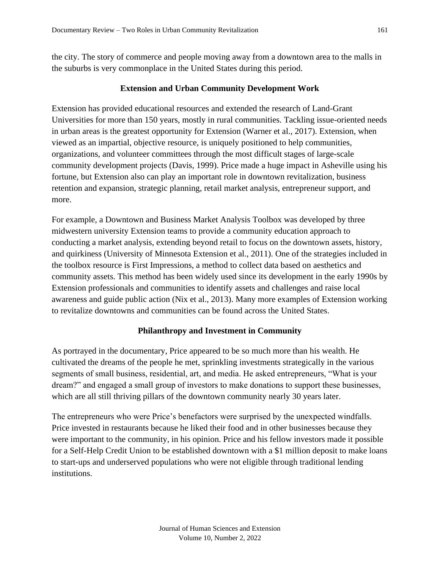the city. The story of commerce and people moving away from a downtown area to the malls in the suburbs is very commonplace in the United States during this period.

#### **Extension and Urban Community Development Work**

Extension has provided educational resources and extended the research of Land-Grant Universities for more than 150 years, mostly in rural communities. Tackling issue-oriented needs in urban areas is the greatest opportunity for Extension (Warner et al., 2017). Extension, when viewed as an impartial, objective resource, is uniquely positioned to help communities, organizations, and volunteer committees through the most difficult stages of large-scale community development projects (Davis, 1999). Price made a huge impact in Asheville using his fortune, but Extension also can play an important role in downtown revitalization, business retention and expansion, strategic planning, retail market analysis, entrepreneur support, and more.

For example, a Downtown and Business Market Analysis Toolbox was developed by three midwestern university Extension teams to provide a community education approach to conducting a market analysis, extending beyond retail to focus on the downtown assets, history, and quirkiness (University of Minnesota Extension et al., 2011). One of the strategies included in the toolbox resource is First Impressions, a method to collect data based on aesthetics and community assets. This method has been widely used since its development in the early 1990s by Extension professionals and communities to identify assets and challenges and raise local awareness and guide public action (Nix et al., 2013). Many more examples of Extension working to revitalize downtowns and communities can be found across the United States.

#### **Philanthropy and Investment in Community**

As portrayed in the documentary, Price appeared to be so much more than his wealth. He cultivated the dreams of the people he met, sprinkling investments strategically in the various segments of small business, residential, art, and media. He asked entrepreneurs, "What is your dream?" and engaged a small group of investors to make donations to support these businesses, which are all still thriving pillars of the downtown community nearly 30 years later.

The entrepreneurs who were Price's benefactors were surprised by the unexpected windfalls. Price invested in restaurants because he liked their food and in other businesses because they were important to the community, in his opinion. Price and his fellow investors made it possible for a Self-Help Credit Union to be established downtown with a \$1 million deposit to make loans to start-ups and underserved populations who were not eligible through traditional lending institutions.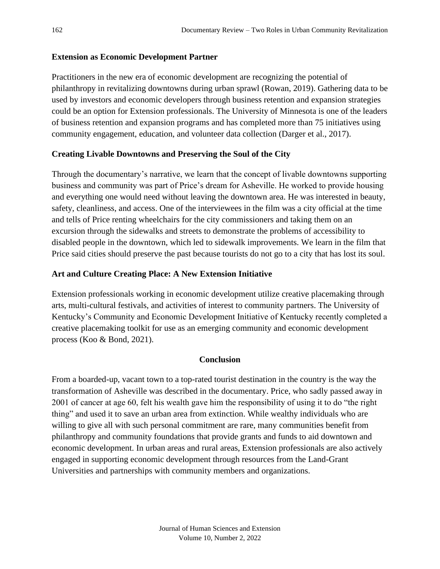#### **Extension as Economic Development Partner**

Practitioners in the new era of economic development are recognizing the potential of philanthropy in revitalizing downtowns during urban sprawl (Rowan, 2019). Gathering data to be used by investors and economic developers through business retention and expansion strategies could be an option for Extension professionals. The University of Minnesota is one of the leaders of business retention and expansion programs and has completed more than 75 initiatives using community engagement, education, and volunteer data collection (Darger et al., 2017).

#### **Creating Livable Downtowns and Preserving the Soul of the City**

Through the documentary's narrative, we learn that the concept of livable downtowns supporting business and community was part of Price's dream for Asheville. He worked to provide housing and everything one would need without leaving the downtown area. He was interested in beauty, safety, cleanliness, and access. One of the interviewees in the film was a city official at the time and tells of Price renting wheelchairs for the city commissioners and taking them on an excursion through the sidewalks and streets to demonstrate the problems of accessibility to disabled people in the downtown, which led to sidewalk improvements. We learn in the film that Price said cities should preserve the past because tourists do not go to a city that has lost its soul.

#### **Art and Culture Creating Place: A New Extension Initiative**

Extension professionals working in economic development utilize creative placemaking through arts, multi-cultural festivals, and activities of interest to community partners. The University of Kentucky's Community and Economic Development Initiative of Kentucky recently completed a creative placemaking toolkit for use as an emerging community and economic development process (Koo & Bond, 2021).

#### **Conclusion**

From a boarded-up, vacant town to a top-rated tourist destination in the country is the way the transformation of Asheville was described in the documentary. Price, who sadly passed away in 2001 of cancer at age 60, felt his wealth gave him the responsibility of using it to do "the right thing" and used it to save an urban area from extinction. While wealthy individuals who are willing to give all with such personal commitment are rare, many communities benefit from philanthropy and community foundations that provide grants and funds to aid downtown and economic development. In urban areas and rural areas, Extension professionals are also actively engaged in supporting economic development through resources from the Land-Grant Universities and partnerships with community members and organizations.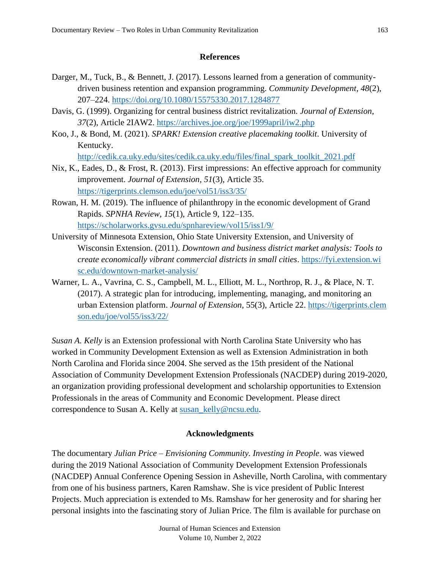#### **References**

- Darger, M., Tuck, B., & Bennett, J. (2017). Lessons learned from a generation of communitydriven business retention and expansion programming. *Community Development*, *48*(2), 207–224.<https://doi.org/10.1080/15575330.2017.1284877>
- Davis, G. (1999). Organizing for central business district revitalization. *Journal of Extension*, *37*(2), Article 2IAW2.<https://archives.joe.org/joe/1999april/iw2.php>
- Koo, J., & Bond, M. (2021). *SPARK! Extension creative placemaking toolkit*. University of Kentucky.

[http://cedik.ca.uky.edu/sites/cedik.ca.uky.edu/files/final\\_spark\\_toolkit\\_2021.pdf](http://cedik.ca.uky.edu/sites/cedik.ca.uky.edu/files/final_spark_toolkit_2021.pdf)

- Nix, K., Eades, D., & Frost, R. (2013). First impressions: An effective approach for community improvement. *Journal of Extension*, *51*(3), Article 35. <https://tigerprints.clemson.edu/joe/vol51/iss3/35/>
- Rowan, H. M. (2019). The influence of philanthropy in the economic development of Grand Rapids. *SPNHA Review, 15*(1), Article 9, 122–135. <https://scholarworks.gvsu.edu/spnhareview/vol15/iss1/9/>
- University of Minnesota Extension, Ohio State University Extension, and University of Wisconsin Extension. (2011). *Downtown and business district market analysis: Tools to create economically vibrant commercial districts in small cities*. [https://fyi.extension.wi](https://fyi.extension.wisc.edu/downtown-market-analysis/) [sc.edu/downtown-market-analysis/](https://fyi.extension.wisc.edu/downtown-market-analysis/)
- Warner, L. A., Vavrina, C. S., Campbell, M. L., Elliott, M. L., Northrop, R. J., & Place, N. T. (2017). A strategic plan for introducing, implementing, managing, and monitoring an urban Extension platform. *Journal of Extension*, 55(3), Article 22. [https://tigerprints.clem](https://tigerprints.clemson.edu/joe/vol55/iss3/22/) [son.edu/joe/vol55/iss3/22/](https://tigerprints.clemson.edu/joe/vol55/iss3/22/)

*Susan A. Kelly* is an Extension professional with North Carolina State University who has worked in Community Development Extension as well as Extension Administration in both North Carolina and Florida since 2004. She served as the 15th president of the National Association of Community Development Extension Professionals (NACDEP) during 2019-2020, an organization providing professional development and scholarship opportunities to Extension Professionals in the areas of Community and Economic Development. Please direct correspondence to Susan A. Kelly at [susan\\_kelly@ncsu.edu.](mailto:susan_kelly@ncsu.edu)

#### **Acknowledgments**

The documentary *Julian Price – Envisioning Community. Investing in People*. was viewed during the 2019 National Association of Community Development Extension Professionals (NACDEP) Annual Conference Opening Session in Asheville, North Carolina, with commentary from one of his business partners, Karen Ramshaw. She is vice president of Public Interest Projects. Much appreciation is extended to Ms. Ramshaw for her generosity and for sharing her personal insights into the fascinating story of Julian Price. The film is available for purchase on